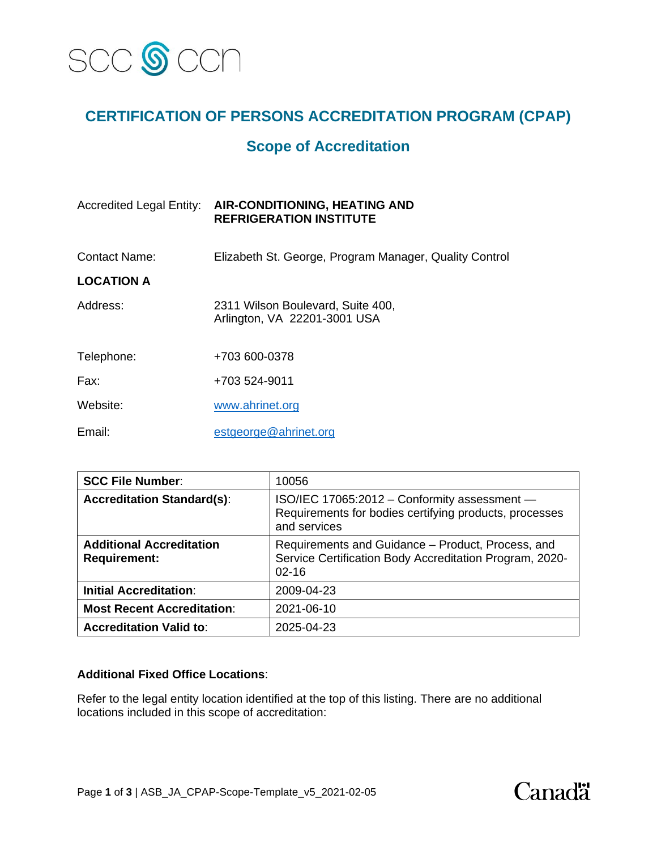

## **CERTIFICATION OF PERSONS ACCREDITATION PROGRAM (CPAP)**

### **Scope of Accreditation**

| <b>AIR-CONDITIONING, HEATING AND</b><br><b>REFRIGERATION INSTITUTE</b> |
|------------------------------------------------------------------------|
| Elizabeth St. George, Program Manager, Quality Control                 |
|                                                                        |
| 2311 Wilson Boulevard, Suite 400,<br>Arlington, VA 22201-3001 USA      |
| +703 600-0378                                                          |
| +703 524-9011                                                          |
| www.ahrinet.org                                                        |
| estgeorge@ahrinet.org                                                  |
|                                                                        |

| <b>SCC File Number:</b>                                | 10056                                                                                                                     |
|--------------------------------------------------------|---------------------------------------------------------------------------------------------------------------------------|
| <b>Accreditation Standard(s):</b>                      | ISO/IEC 17065:2012 - Conformity assessment -<br>Requirements for bodies certifying products, processes<br>and services    |
| <b>Additional Accreditation</b><br><b>Requirement:</b> | Requirements and Guidance - Product, Process, and<br>Service Certification Body Accreditation Program, 2020-<br>$02 - 16$ |
| <b>Initial Accreditation:</b>                          | 2009-04-23                                                                                                                |
| <b>Most Recent Accreditation:</b>                      | 2021-06-10                                                                                                                |
| <b>Accreditation Valid to:</b>                         | 2025-04-23                                                                                                                |

### **Additional Fixed Office Locations**:

Refer to the legal entity location identified at the top of this listing. There are no additional locations included in this scope of accreditation:

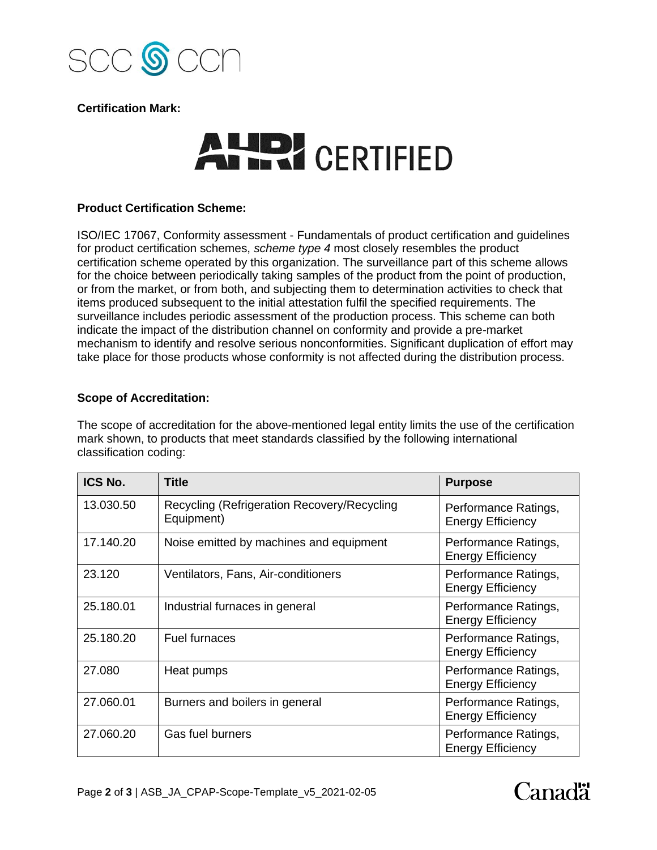

**Certification Mark:**

# AUD! CERTIFIED

### **Product Certification Scheme:**

ISO/IEC 17067, Conformity assessment - Fundamentals of product certification and guidelines for product certification schemes, *scheme type 4* most closely resembles the product certification scheme operated by this organization. The surveillance part of this scheme allows for the choice between periodically taking samples of the product from the point of production, or from the market, or from both, and subjecting them to determination activities to check that items produced subsequent to the initial attestation fulfil the specified requirements. The surveillance includes periodic assessment of the production process. This scheme can both indicate the impact of the distribution channel on conformity and provide a pre-market mechanism to identify and resolve serious nonconformities. Significant duplication of effort may take place for those products whose conformity is not affected during the distribution process.

### **Scope of Accreditation:**

The scope of accreditation for the above-mentioned legal entity limits the use of the certification mark shown, to products that meet standards classified by the following international classification coding:

| ICS No.   | <b>Title</b>                                              | <b>Purpose</b>                                   |
|-----------|-----------------------------------------------------------|--------------------------------------------------|
| 13.030.50 | Recycling (Refrigeration Recovery/Recycling<br>Equipment) | Performance Ratings,<br><b>Energy Efficiency</b> |
| 17.140.20 | Noise emitted by machines and equipment                   | Performance Ratings,<br><b>Energy Efficiency</b> |
| 23.120    | Ventilators, Fans, Air-conditioners                       | Performance Ratings,<br><b>Energy Efficiency</b> |
| 25.180.01 | Industrial furnaces in general                            | Performance Ratings,<br><b>Energy Efficiency</b> |
| 25.180.20 | <b>Fuel furnaces</b>                                      | Performance Ratings,<br><b>Energy Efficiency</b> |
| 27.080    | Heat pumps                                                | Performance Ratings,<br><b>Energy Efficiency</b> |
| 27.060.01 | Burners and boilers in general                            | Performance Ratings,<br><b>Energy Efficiency</b> |
| 27.060.20 | Gas fuel burners                                          | Performance Ratings,<br><b>Energy Efficiency</b> |